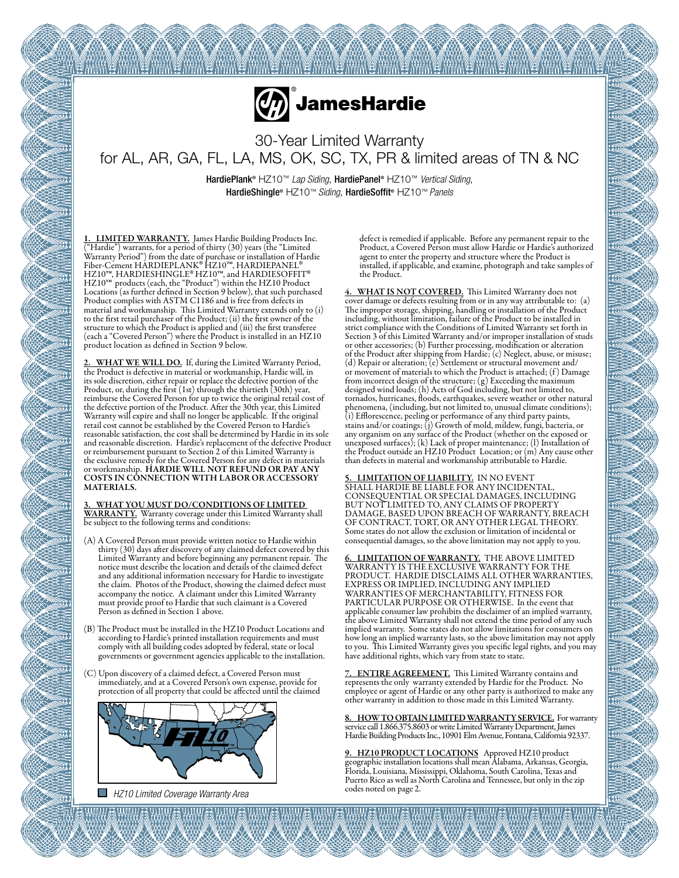

30-Year Limited Warranty for AL, AR, GA, FL, LA, MS, OK, SC, TX, PR & limited areas of TN & NC

HardiePlank® HZ10™ *Lap Siding*, HardiePanel® HZ10™ *Vertical Siding*, HardieShingle® HZ10™ *Siding*, HardieSoffit® HZ10™ *Panels*

1. LIMITED WARRANTY. James Hardie Building Products Inc. ("Hardie") warrants, for a period of thirty (30) years (the "Limited Warranty Period") from the date of purchase or installation of Hardie Fiber-Cement HARDIEPLANK® HZ10™, HARDIEPANEL®<br>HZ10™, HARDIESHINGLE® HZ10™, and HARDIESOFFIT®<br>HZ10™ products (each, the "Product") within the HZ10 Product<br>Locations (as further defined in Section 9 below), that such purcha Product complies with ASTM C1186 and is free from defects in material and workmanship. This Limited Warranty extends only to (i) to the first retail purchaser of the Product; (ii) the first owner of the structure to which the Product is applied and (iii) the first transferee (each a "Covered Person") where the Product is installed in an HZ10 product location as defined in Section 9 below.

2. WHAT WE WILL DO. If, during the Limited Warranty Period, the Product is defective in material or workmanship, Hardie will, in its sole discretion, either repair or replace the defective portion of the Product, or, during the first (1st) through the thirtieth (30th) year, reimburse the Covered Person for up to twice the original retail cost of the defective portion of the Product. After the 30th year, this Limited Warranty will expire and shall no longer be applicable. If the original retail cost cannot be established by the Covered Person to Hardie's reasonable satisfaction, the cost shall be determined by Hardie in its sole and reasonable discretion. Hardie's replacement of the defective Product or reimbursement pursuant to Section 2 of this Limited Warranty is the exclusive remedy for the Covered Person for any defect in materials or workmanship. HARDIE WILL NOT REFUND OR PAY ANY COSTS IN CONNECTION WITH LABOR OR ACCESSORY MATERIALS.

3. WHAT YOU MUST DO/CONDITIONS OF LIMITED WARRANTY. Warranty coverage under this Limited Warranty shall be subject to the following terms and conditions:

- (A) A Covered Person must provide written notice to Hardie within thirty (30) days after discovery of any claimed defect covered by this Limited Warranty and before beginning any permanent repair. The notice must describe the location and details of the claimed defect and any additional information necessary for Hardie to investigate the claim. Photos of the Product, showing the claimed defect must accompany the notice. A claimant under this Limited Warranty must provide proof to Hardie that such claimant is a Covered Person as defined in Section 1 above.
- (B) The Product must be installed in the HZ10 Product Locations and according to Hardie's printed installation requirements and must comply with all building codes adopted by federal, state or local governments or government agencies applicable to the installation.
- (C) Upon discovery of a claimed defect, a Covered Person must immediately, and at a Covered Person's own expense, provide for protection of all property that could be affected until the claimed



**E** HZ10 Limited Coverage Warranty Area

defect is remedied if applicable. Before any permanent repair to the Product, a Covered Person must allow Hardie or Hardie's authorized agent to enter the property and structure where the Product is installed, if applicable, and examine, photograph and take samples of the Product.

4. WHAT IS NOT COVERED. This Limited Warranty does not cover damage or defects resulting from or in any way attributable to: (a) The improper storage, shipping, handling or installation of the Product including, without limitation, failure of the Product to be installed in strict compliance with the Conditions of Limited Warranty set forth in Section 3 of this Limited Warranty and/or improper installation of studs or other accessories; (b) Further processing, modification or alteration of the Product after shipping from Hardie; (c) Neglect, abuse, or misuse; (d) Repair or alteration; (e) Settlement or structural movement and/ or movement of materials to which the Product is attached; (f) Damage from incorrect design of the structure; (g) Exceeding the maximum designed wind loads; (h) Acts of God including, but not limited to, tornados, hurricanes, floods, earthquakes, severe weather or other natural phenomena, (including, but not limited to, unusual climate conditions); (i) Efflorescence, peeling or performance of any third party paints, stains and/or coatings; (j) Growth of mold, mildew, fungi, bacteria, or any organism on any surface of the Product (whether on the exposed or unexposed surfaces); (k) Lack of proper maintenance; (l) Installation of the Product outside an HZ10 Product Location; or (m) Any cause other than defects in material and workmanship attributable to Hardie.

5. LIMITATION OF LIABILITY. IN NO EVENT SHALL HARDIE BE LIABLE FOR ANY INCIDENTAL, CONSEQUENTIAL OR SPECIAL DAMAGES, INCLUDING BUT NOT LIMITED TO, ANY CLAIMS OF PROPERTY DAMAGE, BASED UPON BREACH OF WARRANTY, BREACH OF CONTRACT, TORT, OR ANY OTHER LEGAL THEORY. Some states do not allow the exclusion or limitation of incidental or consequential damages, so the above limitation may not apply to you.

6. LIMITATION OF WARRANTY. THE ABOVE LIMITED WARRANTY IS THE EXCLUSIVE WARRANTY FOR THE PRODUCT. HARDIE DISCLAIMS ALL OTHER WARRANTIES, EXPRESS OR IMPLIED, INCLUDING ANY IMPLIED WARRANTIES OF MERCHANTABILITY, FITNESS FOR PARTICULAR PURPOSE OR OTHERWISE. In the event that applicable consumer law prohibits the disclaimer of an implied warranty, the above Limited Warranty shall not extend the time period of any such implied warranty. Some states do not allow limitations for consumers on how long an implied warranty lasts, so the above limitation may not apply to you. This Limited Warranty gives you specific legal rights, and you may have additional rights, which vary from state to state.

7. ENTIRE AGREEMENT. This Limited Warranty contains and represents the only warranty extended by Hardie for the Product. No employee or agent of Hardie or any other party is authorized to make any other warranty in addition to those made in this Limited Warranty.

8. HOW TO OBTAIN LIMITED WARRANTY SERVICE. For warranty service call 1.866.375.8603 or write Limited Warranty Department, James Hardie Building Products Inc., 10901 Elm Avenue, Fontana, California 92337.

9. HZ10 PRODUCT LOCATIONS Approved HZ10 product geographic installation locations shall mean Alabama, Arkansas, Georgia, Florida, Louisiana, Mississippi, Oklahoma, South Carolina, Texas and Puerto Rico as well as North Carolina and Tennessee, but only in the zip codes noted on page 2.